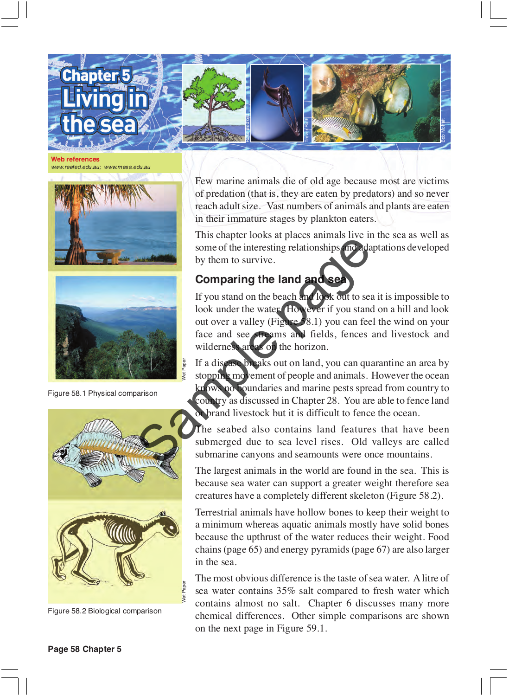

*Web references* www.reefed.edu.au; www.mesa.edu.au





Figure 58.1 Physical comparison



Figure 58.2 Biological comparison

Few marine animals die of old age because most are victims of predation (that is, they are eaten by predators) and so never reach adult size. Vast numbers of animals and plants are eaten in their immature stages by plankton eaters.

This chapter looks at places animals live in the sea as well as some of the interesting relationships and adaptations developed by them to survive.

# **Comparing the land and sea**

If you stand on the beach and look out to sea it is impossible to look under the water. However if you stand on a hill and look out over a valley (Figure 58.1) you can feel the wind on your face and see streams and fields, fences and livestock and wilderness areas on the horizon. This chapter looks at places alminais live in some of the interesting relationships and by them to survive.<br>
Comparing the land and see<br>
If you stand on the beach and look out to see<br>
If you stand on the beach and look out

If a disease breaks out on land, you can quarantine an area by stopping movement of people and animals. However the ocean knows no boundaries and marine pests spread from country to country as discussed in Chapter 28. You are able to fence land or brand livestock but it is difficult to fence the ocean.

The seabed also contains land features that have been submerged due to sea level rises. Old valleys are called submarine canyons and seamounts were once mountains.

The largest animals in the world are found in the sea. This is because sea water can support a greater weight therefore sea creatures have a completely different skeleton (Figure 58.2).

Terrestrial animals have hollow bones to keep their weight to a minimum whereas aquatic animals mostly have solid bones because the upthrust of the water reduces their weight. Food chains (page 65) and energy pyramids (page 67) are also larger in the sea.

The most obvious difference is the taste of sea water. A litre of sea water contains 35% salt compared to fresh water which contains almost no salt. Chapter 6 discusses many more chemical differences. Other simple comparisons are shown on the next page in Figure 59.1.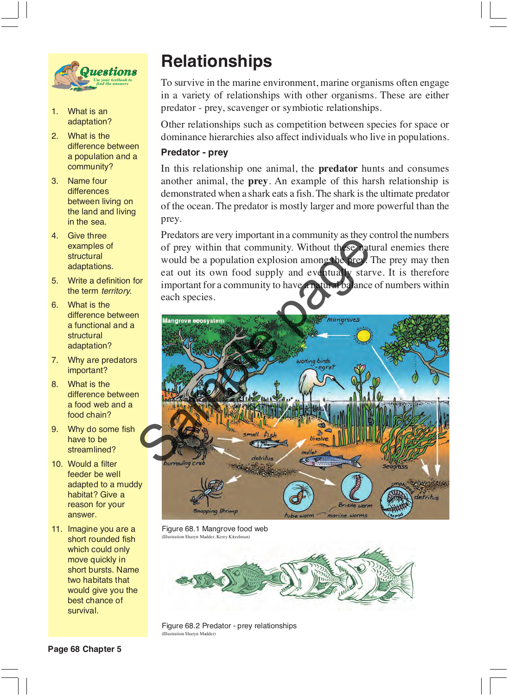

- What is an adaptation?
- 2. What is the difference between a population and a community?
- 3. Name four differences between living on the land and living in the sea.
- 4. Give three examples of structural adaptations.
- 5. Write a definition for the term territory.
- 6. What is the difference between a functional and a structural adaptation?
- 7. Why are predators important?
- 8. What is the difference between a food web and a food chain?
- 9. Why do some fish have to be streamlined?
- 10. Would a filter feeder be well adapted to a muddy habitat? Give a reason for your answer.
- 11. Imagine you are a short rounded fish which could only move quickly in short bursts. Name two habitats that would give you the best chance of survival.

# *Relationships*

To survive in the marine environment, marine organisms often engage in a variety of relationships with other organisms. These are either predator - prey, scavenger or symbiotic relationships.

Other relationships such as competition between species for space or dominance hierarchies also affect individuals who live in populations.

#### **Predator - prey**

In this relationship one animal, the **predator** hunts and consumes another animal, the **prey**. An example of this harsh relationship is demonstrated when a shark eats a fish. The shark is the ultimate predator of the ocean. The predator is mostly larger and more powerful than the prey.

Predators are very important in a community as they control the numbers of prey within that community. Without these natural enemies there would be a population explosion among the prey. The prey may then eat out its own food supply and eventually starve. It is therefore important for a community to have a natural balance of numbers within each species.



Figure 68.1 Mangrove food web U<br>Istration Sharyn Madder, Kerry Kitzelman)



Figure 68.2 Predator - prey relationships **Extration Sharyn Madder)** 

*Page 68 Chapter 5*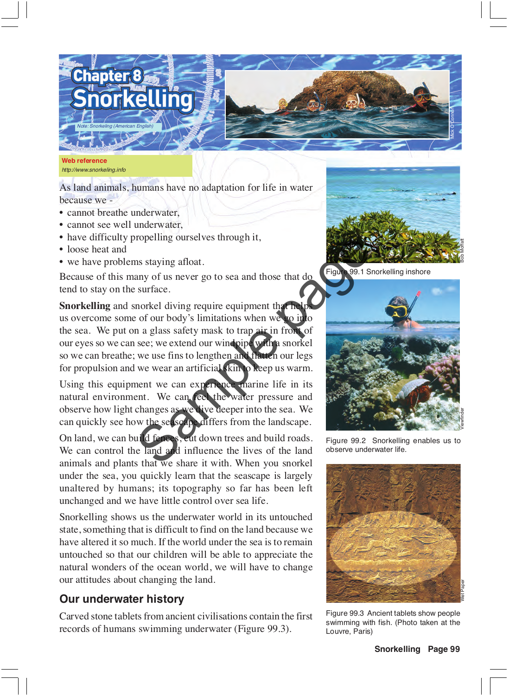

#### *Web reference* http://www.snorkeling.info

As land animals, humans have no adaptation for life in water because we -

- cannot breathe underwater,
- cannot see well underwater.
- have difficulty propelling ourselves through it,
- loose heat and
- we have problems staying afloat.

Because of this many of us never go to sea and those that do tend to stay on the surface.



Figure 99.1 Snorkelling inshore

**Snorkelling** and snorkel diving require equipment that help us overcome some of our body's limitations when we go into the sea. We put on a glass safety mask to trap air in front of our eyes so we can see; we extend our windpipe with a snorkel so we can breathe; we use fins to lengthen and flatten our legs for propulsion and we wear an artificial skin to keep us warm. ropelling ourselves through it,<br>
any of us never go to sea and those that do<br>
surface.<br>
any of us never go to sea and those that do<br>
surface.<br>
anorkel diving require equipment the<br>
n a glass safety mask to trap air in fron

Using this equipment we can experience marine life in its natural environment. We can feel the water pressure and observe how light changes as we dive deeper into the sea. We can quickly see how the set scape differs from the landscape.

On land, we can build fences, cut down trees and build roads. We can control the land and influence the lives of the land animals and plants that we share it with. When you snorkel under the sea, you quickly learn that the seascape is largely unaltered by humans; its topography so far has been left unchanged and we have little control over sea life.

Snorkelling shows us the underwater world in its untouched state, something that is difficult to find on the land because we have altered it so much. If the world under the sea is to remain untouched so that our children will be able to appreciate the natural wonders of the ocean world, we will have to change our attitudes about changing the land.

# **Our underwater history**

Carved stone tablets from ancient civilisations contain the first records of humans swimming underwater (Figure 99.3).



Figure 99.2 Snorkelling enables us to observe underwater life.



Figure 99.3 Ancient tablets show people swimming with fish. (Photo taken at the Louvre, Paris)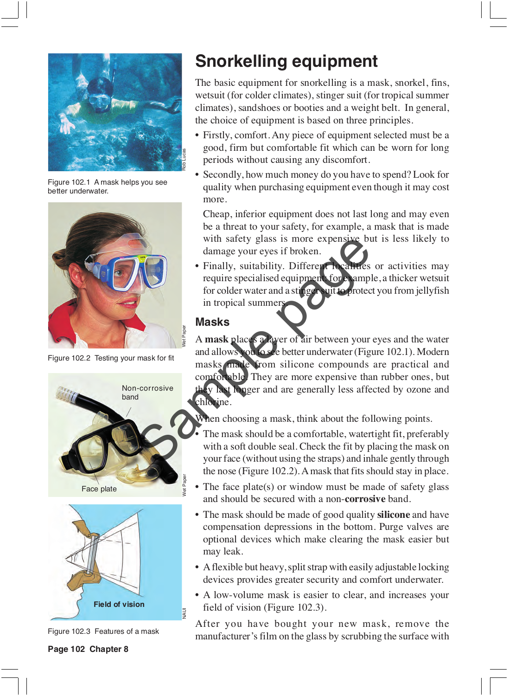

Figure 102.1 A mask helps you see better underwater.



Figure 102.2 Testing your mask for fit



Figure 102.3 Features of a mask

#### *Page 102 Chapter 8*

# *Snorkelling equipment*

The basic equipment for snorkelling is a mask, snorkel, fins, wetsuit (for colder climates), stinger suit (for tropical summer climates), sandshoes or booties and a weight belt. In general, the choice of equipment is based on three principles.

- Firstly, comfort. Any piece of equipment selected must be a good, firm but comfortable fit which can be worn for long periods without causing any discomfort.
- Secondly, how much money do you have to spend? Look for quality when purchasing equipment even though it may cost more.

Cheap, inferior equipment does not last long and may even be a threat to your safety, for example, a mask that is made with safety glass is more expensive but is less likely to damage your eyes if broken.

• Finally, suitability. Different localities or activities may require specialised equipment: for example, a thicker wetsuit for colder water and a stinger suit to protect you from jellyfish in tropical summers.

#### **Masks**

A **mask** places a layer of air between your eyes and the water and allows you to see better underwater (Figure 102.1). Modern masks made from silicone compounds are practical and comfortable. They are more expensive than rubber ones, but ty last longer and are generally less affected by ozone and chlorine. with safety glass is more expensive but<br>
damage your eyes if broken.<br>
Finally, suitability. Different realities<br>
require specialised equipment for a ample<br>
for colder water and a striggend for a ample<br>
for colder water and

When choosing a mask, think about the following points.

- The mask should be a comfortable, watertight fit, preferably with a soft double seal. Check the fit by placing the mask on your face (without using the straps) and inhale gently through the nose (Figure 102.2). A mask that fits should stay in place.
- The face plate(s) or window must be made of safety glass and should be secured with a non-**corrosive** band.
- The mask should be made of good quality **silicone** and have compensation depressions in the bottom. Purge valves are optional devices which make clearing the mask easier but may leak.
- A flexible but heavy, split strap with easily adjustable locking devices provides greater security and comfort underwater.
- A low-volume mask is easier to clear, and increases your field of vision (Figure 102.3).

After you have bought your new mask, remove the manufacturer's film on the glass by scrubbing the surface with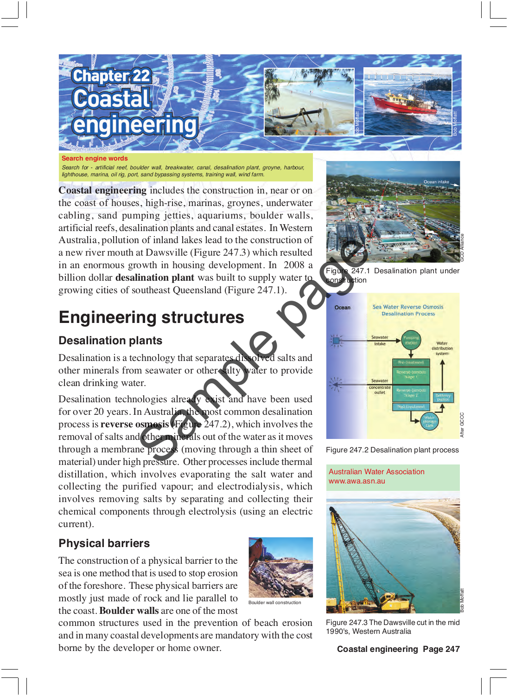

### *Search engine words*

Search for - artificial reef, boulder wall, breakwater, canal, desalination plant, groyne, harbour, lighthouse, marina, oil rig, port, sand bypassing systems, training wall, wind farm.

**Coastal engineering** includes the construction in, near or on the coast of houses, high-rise, marinas, groynes, underwater cabling, sand pumping jetties, aquariums, boulder walls, artificial reefs, desalination plants and canal estates. In Western Australia, pollution of inland lakes lead to the construction of a new river mouth at Dawsville (Figure 247.3) which resulted in an enormous growth in housing development. In 2008 a billion dollar **desalination plant** was built to supply water to growing cities of southeast Queensland (Figure 247.1).





# *Engineering structures*

## **Desalination plants**

Desalination is a technology that separates dissolved salts and other minerals from seawater or other salty water to provide clean drinking water.

Desalination technologies already exist and have been used for over 20 years. In Australia, the most common desalination process is **reverse osmosis** (Figure 247.2), which involves the removal of salts and other minerals out of the water as it moves through a membrane process (moving through a thin sheet of material) under high pressure. Other processes include thermal distillation, which involves evaporating the salt water and collecting the purified vapour; and electrodialysis, which involves removing salts by separating and collecting their chemical components through electrolysis (using an electric current). n of inland lakes lead to the construction of<br>at Dawsville (Figure 247.3) which resulted<br>rowth in housing development. In 2008 a<br>lination plant was built to supply water to<br>coutheast Queensland (Figure 247.1).<br>**Sample page** 

# **Physical barriers**

The construction of a physical barrier to the sea is one method that is used to stop erosion of the foreshore. These physical barriers are mostly just made of rock and lie parallel to the coast. **Boulder walls** are one of the most



Boulder wall construction

common structures used in the prevention of beach erosion and in many coastal developments are mandatory with the cost borne by the developer or home owner.



Figure 247.2 Desalination plant process

#### Australian Water Association www.awa.asn.au



Figure 247.3 The Dawsville cut in the mid 1990's. Western Australia

*Coastal engineering Page 247*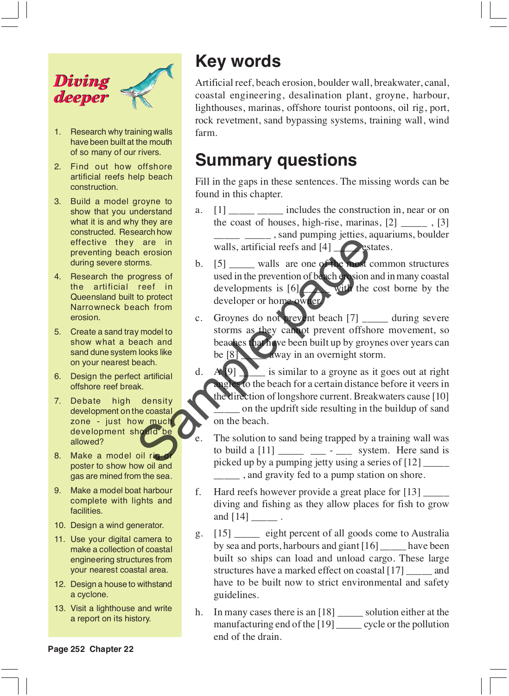

- 1. Research why training walls have been built at the mouth of so many of our rivers.
- 2. Find out how offshore artificial reefs help beach construction.
- 3. Build a model groyne to show that you understand what it is and why they are constructed. Research how effective they are in preventing beach erosion during severe storms.
- 4. Research the progress of the artificial reef in Queensland built to protect Narrowneck beach from erosion.
- 5. Create a sand tray model to show what a beach and sand dune system looks like on your nearest beach.
- 6. Design the perfect artificial offshore reef break.
- 7. Debate high density development on the coastal zone - just how much development should be allowed?
- 8. Make a model oil rig of poster to show how oil and gas are mined from the sea.
- 9. Make a model boat harbour complete with lights and facilities.
- 10. Design a wind generator.
- 11. Use your digital camera to make a collection of coastal engineering structures from your nearest coastal area.
- 12. Design a house to withstand a cyclone.
- 13. Visit a lighthouse and write a report on its history.

# *Key words*

Artificial reef, beach erosion, boulder wall, breakwater, canal, coastal engineering, desalination plant, groyne, harbour, lighthouses, marinas, offshore tourist pontoons, oil rig, port, rock revetment, sand bypassing systems, training wall, wind farm.

# *Summary questions*

Fill in the gaps in these sentences. The missing words can be found in this chapter.

- a. [1] \_\_\_\_\_\_\_\_\_\_\_\_\_\_ includes the construction in, near or on the coast of houses, high-rise, marinas,  $[2]$  \_\_\_\_\_\_,  $[3]$ **EXECUTE:** 1.5 Sand pumping jetties, aquariums, boulder walls, artificial reefs and [4]  $\qquad \qquad$  estates.
- b. [5] \_\_\_\_\_ walls are one of the most common structures used in the prevention of beach erosion and in many coastal developments is  $[6]$  with the cost borne by the developer or home owner.
- c. Groynes do not prevent beach [7] \_\_\_\_\_ during severe storms as they cannot prevent offshore movement, so beaches that have been built up by groynes over years can be [8] **L**eway in an overnight storm.
- d.  $A[9]$  is similar to a groyne as it goes out at right angles to the beach for a certain distance before it veers in the direction of longshore current. Breakwaters cause [10] \_\_\_\_\_ on the updrift side resulting in the buildup of sand on the beach. are in<br>
the rosion<br>
the rosion<br>
the rosion<br>
free in<br>
to greess of<br>
the present in the prevention of beach<br>
to protect<br>
to protect<br>
to protect<br>
to protect<br>
to protect<br>
to protect<br>
to protect<br>
to protect<br>
to protect<br>
to pro
	- e. The solution to sand being trapped by a training wall was to build a  $[11]$  \_\_\_\_\_\_ \_\_\_ - \_\_\_ system. Here sand is picked up by a pumping jetty using a series of [12]  $\Box$ , and gravity fed to a pump station on shore.
	- f. Hard reefs however provide a great place for [13] \_\_\_\_\_ diving and fishing as they allow places for fish to grow and  $[14]$  \_\_\_\_\_\_\_\_.
	- g. [15] \_\_\_\_\_ eight percent of all goods come to Australia by sea and ports, harbours and giant [16] \_\_\_\_\_ have been built so ships can load and unload cargo. These large structures have a marked effect on coastal [17] and have to be built now to strict environmental and safety guidelines.
	- h. In many cases there is an [18] \_\_\_\_\_\_ solution either at the manufacturing end of the [19] \_\_\_\_\_ cycle or the pollution end of the drain.

*Page 252 Chapter 22*